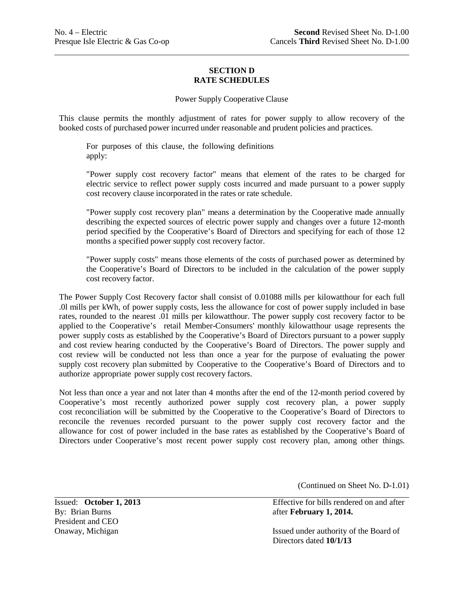## **SECTION D RATE SCHEDULES**

## Power Supply Cooperative Clause

This clause permits the monthly adjustment of rates for power supply to allow recovery of the booked costs of purchased power incurred under reasonable and prudent policies and practices.

For purposes of this clause, the following definitions apply:

"Power supply cost recovery factor" means that element of the rates to be charged for electric service to reflect power supply costs incurred and made pursuant to a power supply cost recovery clause incorporated in the rates or rate schedule.

"Power supply cost recovery plan" means a determination by the Cooperative made annually describing the expected sources of electric power supply and changes over a future 12-month period specified by the Cooperative's Board of Directors and specifying for each of those 12 months a specified power supply cost recovery factor.

"Power supply costs" means those elements of the costs of purchased power as determined by the Cooperative's Board of Directors to be included in the calculation of the power supply cost recovery factor.

The Power Supply Cost Recovery factor shall consist of 0.01088 mills per kilowatthour for each full .0l mills per kWh, of power supply costs, less the allowance for cost of power supply included in base rates, rounded to the nearest .01 mills per kilowatthour. The power supply cost recovery factor to be applied to the Cooperative's retail Member-Consumers' monthly kilowatthour usage represents the power supply costs as established by the Cooperative's Board of Directors pursuant to a power supply and cost review hearing conducted by the Cooperative's Board of Directors. The power supply and cost review will be conducted not less than once a year for the purpose of evaluating the power supply cost recovery plan submitted by Cooperative to the Cooperative's Board of Directors and to authorize appropriate power supply cost recovery factors.

Not less than once a year and not later than 4 months after the end of the 12-month period covered by Cooperative's most recently authorized power supply cost recovery plan, a power supply cost reconciliation will be submitted by the Cooperative to the Cooperative's Board of Directors to reconcile the revenues recorded pursuant to the power supply cost recovery factor and the allowance for cost of power included in the base rates as established by the Cooperative's Board of Directors under Cooperative's most recent power supply cost recovery plan, among other things.

(Continued on Sheet No. D-1.01)

By: Brian Burns **after <b>February 1, 2014.** President and CEO

Issued: **October 1, 2013** Effective for bills rendered on and after

Onaway, Michigan Issued under authority of the Board of Directors dated **10/1/13**